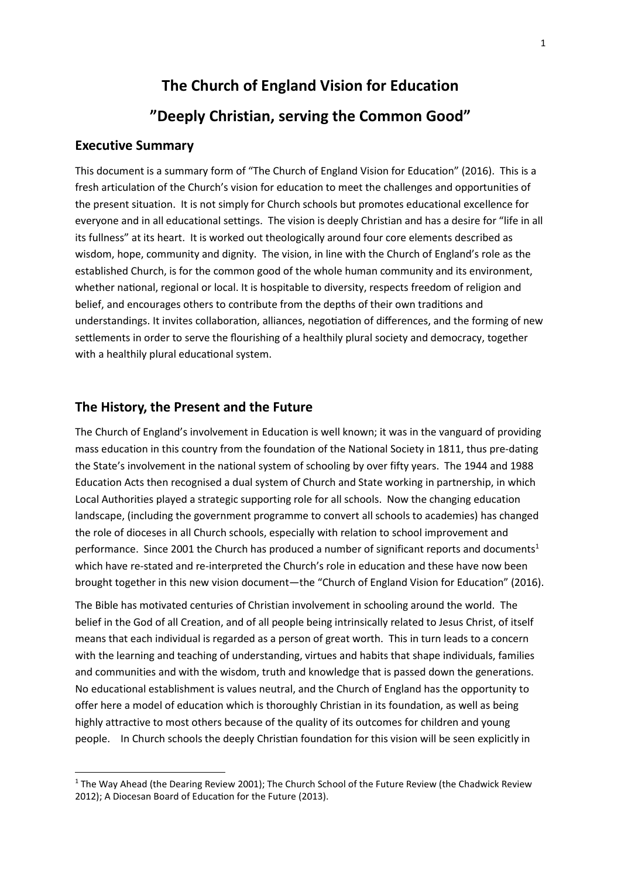## **The Church of England Vision for Education**

### **"Deeply Christian, serving the Common Good"**

#### **Executive Summary**

**.** 

This document is a summary form of "The Church of England Vision for Education" (2016). This is a fresh articulation of the Church's vision for education to meet the challenges and opportunities of the present situation. It is not simply for Church schools but promotes educational excellence for everyone and in all educational settings. The vision is deeply Christian and has a desire for "life in all its fullness" at its heart. It is worked out theologically around four core elements described as wisdom, hope, community and dignity. The vision, in line with the Church of England's role as the established Church, is for the common good of the whole human community and its environment, whether national, regional or local. It is hospitable to diversity, respects freedom of religion and belief, and encourages others to contribute from the depths of their own traditions and understandings. It invites collaboration, alliances, negotiation of differences, and the forming of new settlements in order to serve the flourishing of a healthily plural society and democracy, together with a healthily plural educational system.

#### **The History, the Present and the Future**

The Church of England's involvement in Education is well known; it was in the vanguard of providing mass education in this country from the foundation of the National Society in 1811, thus pre-dating the State's involvement in the national system of schooling by over fifty years. The 1944 and 1988 Education Acts then recognised a dual system of Church and State working in partnership, in which Local Authorities played a strategic supporting role for all schools. Now the changing education landscape, (including the government programme to convert all schools to academies) has changed the role of dioceses in all Church schools, especially with relation to school improvement and performance. Since 2001 the Church has produced a number of significant reports and documents<sup>1</sup> which have re-stated and re-interpreted the Church's role in education and these have now been brought together in this new vision document—the "Church of England Vision for Education" (2016).

The Bible has motivated centuries of Christian involvement in schooling around the world. The belief in the God of all Creation, and of all people being intrinsically related to Jesus Christ, of itself means that each individual is regarded as a person of great worth. This in turn leads to a concern with the learning and teaching of understanding, virtues and habits that shape individuals, families and communities and with the wisdom, truth and knowledge that is passed down the generations. No educational establishment is values neutral, and the Church of England has the opportunity to offer here a model of education which is thoroughly Christian in its foundation, as well as being highly attractive to most others because of the quality of its outcomes for children and young people. In Church schools the deeply Christian foundation for this vision will be seen explicitly in

<sup>&</sup>lt;sup>1</sup> The Way Ahead (the Dearing Review 2001); The Church School of the Future Review (the Chadwick Review 2012); A Diocesan Board of Education for the Future (2013).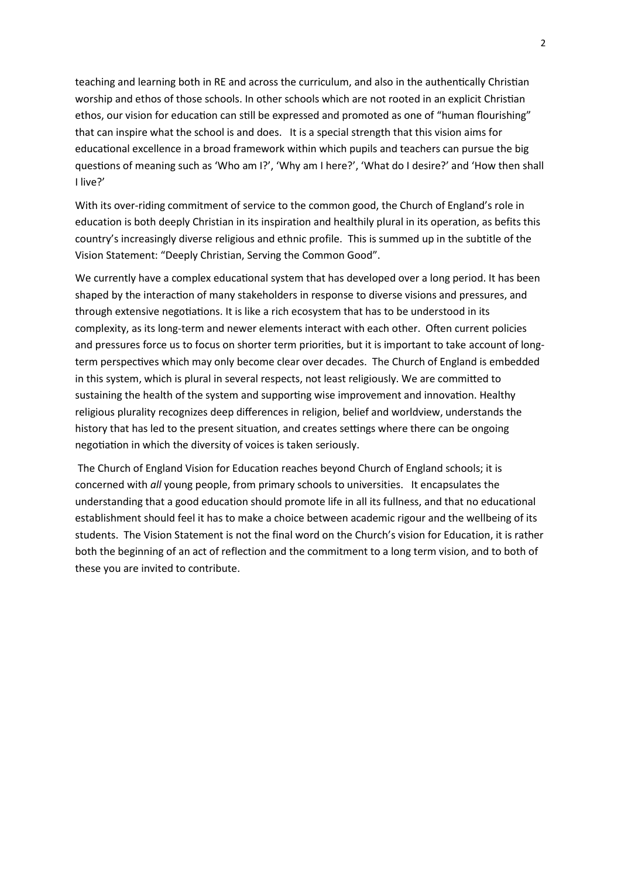teaching and learning both in RE and across the curriculum, and also in the authentically Christian worship and ethos of those schools. In other schools which are not rooted in an explicit Christian ethos, our vision for education can still be expressed and promoted as one of "human flourishing" that can inspire what the school is and does. It is a special strength that this vision aims for educational excellence in a broad framework within which pupils and teachers can pursue the big questions of meaning such as 'Who am I?', 'Why am I here?', 'What do I desire?' and 'How then shall I live?'

With its over-riding commitment of service to the common good, the Church of England's role in education is both deeply Christian in its inspiration and healthily plural in its operation, as befits this country's increasingly diverse religious and ethnic profile. This is summed up in the subtitle of the Vision Statement: "Deeply Christian, Serving the Common Good".

We currently have a complex educational system that has developed over a long period. It has been shaped by the interaction of many stakeholders in response to diverse visions and pressures, and through extensive negotiations. It is like a rich ecosystem that has to be understood in its complexity, as its long-term and newer elements interact with each other. Often current policies and pressures force us to focus on shorter term priorities, but it is important to take account of longterm perspectives which may only become clear over decades. The Church of England is embedded in this system, which is plural in several respects, not least religiously. We are committed to sustaining the health of the system and supporting wise improvement and innovation. Healthy religious plurality recognizes deep differences in religion, belief and worldview, understands the history that has led to the present situation, and creates settings where there can be ongoing negotiation in which the diversity of voices is taken seriously.

The Church of England Vision for Education reaches beyond Church of England schools; it is concerned with *all* young people, from primary schools to universities. It encapsulates the understanding that a good education should promote life in all its fullness, and that no educational establishment should feel it has to make a choice between academic rigour and the wellbeing of its students. The Vision Statement is not the final word on the Church's vision for Education, it is rather both the beginning of an act of reflection and the commitment to a long term vision, and to both of these you are invited to contribute.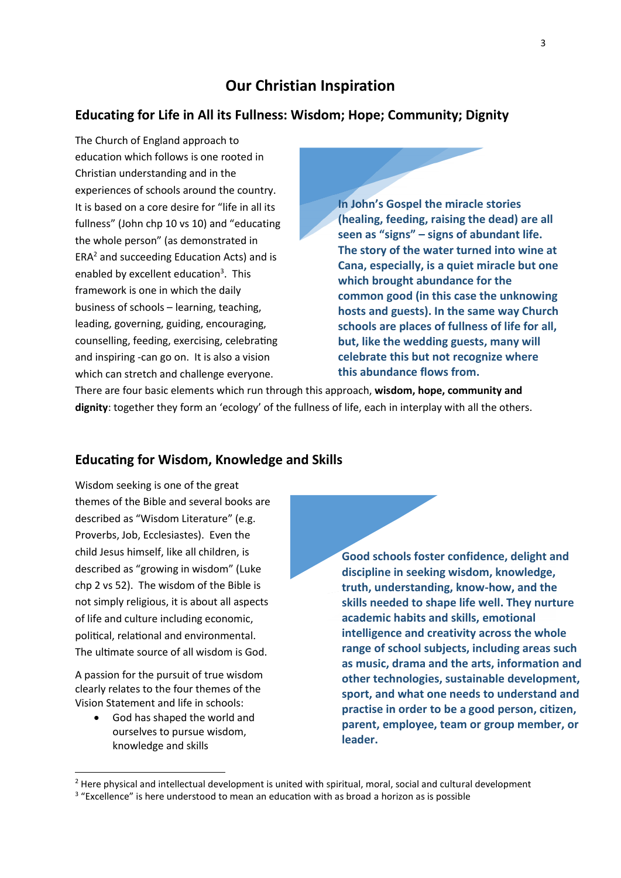### **Our Christian Inspiration**

#### **Educating for Life in All its Fullness: Wisdom; Hope; Community; Dignity**

The Church of England approach to education which follows is one rooted in Christian understanding and in the experiences of schools around the country. It is based on a core desire for "life in all its fullness" (John chp 10 vs 10) and "educating the whole person" (as demonstrated in  $ERA<sup>2</sup>$  and succeeding Education Acts) and is enabled by excellent education<sup>3</sup>. This framework is one in which the daily business of schools – learning, teaching, leading, governing, guiding, encouraging, counselling, feeding, exercising, celebrating and inspiring -can go on. It is also a vision which can stretch and challenge everyone.

**In John's Gospel the miracle stories (healing, feeding, raising the dead) are all seen as "signs" – signs of abundant life. The story of the water turned into wine at Cana, especially, is a quiet miracle but one which brought abundance for the common good (in this case the unknowing hosts and guests). In the same way Church schools are places of fullness of life for all, but, like the wedding guests, many will celebrate this but not recognize where this abundance flows from.**

There are four basic elements which run through this approach, **wisdom, hope, community and dignity**: together they form an 'ecology' of the fullness of life, each in interplay with all the others.

#### **Educating for Wisdom, Knowledge and Skills**

Wisdom seeking is one of the great themes of the Bible and several books are described as "Wisdom Literature" (e.g. Proverbs, Job, Ecclesiastes). Even the child Jesus himself, like all children, is described as "growing in wisdom" (Luke chp 2 vs 52). The wisdom of the Bible is not simply religious, it is about all aspects of life and culture including economic, political, relational and environmental. The ultimate source of all wisdom is God.

A passion for the pursuit of true wisdom clearly relates to the four themes of the Vision Statement and life in schools:

> God has shaped the world and ourselves to pursue wisdom, knowledge and skills

**.** 

**Good schools foster confidence, delight and discipline in seeking wisdom, knowledge, truth, understanding, know-how, and the skills needed to shape life well. They nurture academic habits and skills, emotional intelligence and creativity across the whole range of school subjects, including areas such as music, drama and the arts, information and other technologies, sustainable development, sport, and what one needs to understand and practise in order to be a good person, citizen, parent, employee, team or group member, or leader.**

<sup>&</sup>lt;sup>2</sup> Here physical and intellectual development is united with spiritual, moral, social and cultural development

<sup>&</sup>lt;sup>3</sup> "Excellence" is here understood to mean an education with as broad a horizon as is possible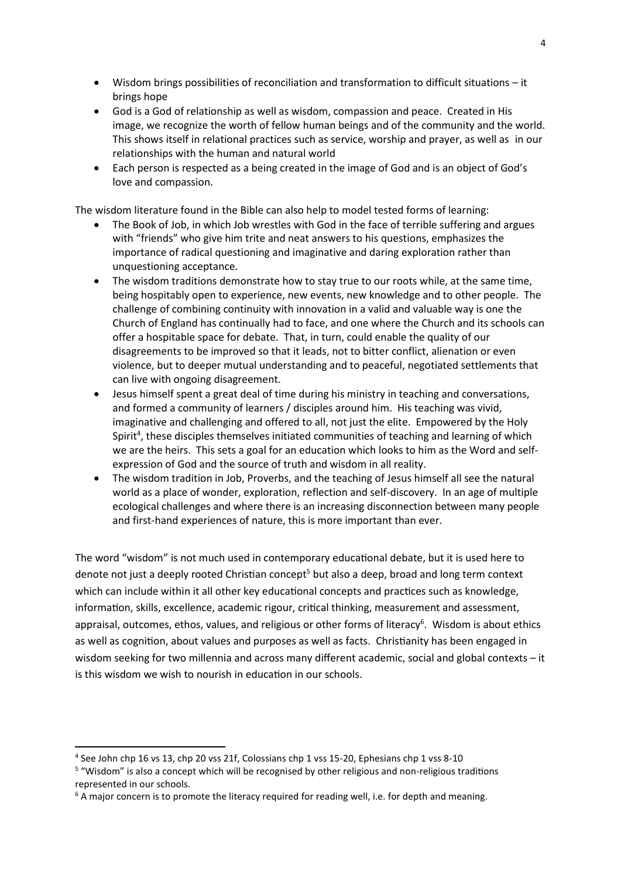- Wisdom brings possibilities of reconciliation and transformation to difficult situations it brings hope
- God is a God of relationship as well as wisdom, compassion and peace. Created in His image, we recognize the worth of fellow human beings and of the community and the world. This shows itself in relational practices such as service, worship and prayer, as well as in our relationships with the human and natural world
- Each person is respected as a being created in the image of God and is an object of God's love and compassion.

The wisdom literature found in the Bible can also help to model tested forms of learning:

- The Book of Job, in which Job wrestles with God in the face of terrible suffering and argues with "friends" who give him trite and neat answers to his questions, emphasizes the importance of radical questioning and imaginative and daring exploration rather than unquestioning acceptance.
- The wisdom traditions demonstrate how to stay true to our roots while, at the same time, being hospitably open to experience, new events, new knowledge and to other people. The challenge of combining continuity with innovation in a valid and valuable way is one the Church of England has continually had to face, and one where the Church and its schools can offer a hospitable space for debate. That, in turn, could enable the quality of our disagreements to be improved so that it leads, not to bitter conflict, alienation or even violence, but to deeper mutual understanding and to peaceful, negotiated settlements that can live with ongoing disagreement.
- Jesus himself spent a great deal of time during his ministry in teaching and conversations, and formed a community of learners / disciples around him. His teaching was vivid, imaginative and challenging and offered to all, not just the elite. Empowered by the Holy Spirit<sup>4</sup>, these disciples themselves initiated communities of teaching and learning of which we are the heirs. This sets a goal for an education which looks to him as the Word and selfexpression of God and the source of truth and wisdom in all reality.
- The wisdom tradition in Job, Proverbs, and the teaching of Jesus himself all see the natural world as a place of wonder, exploration, reflection and self-discovery. In an age of multiple ecological challenges and where there is an increasing disconnection between many people and first-hand experiences of nature, this is more important than ever.

The word "wisdom" is not much used in contemporary educational debate, but it is used here to denote not just a deeply rooted Christian concept<sup>5</sup> but also a deep, broad and long term context which can include within it all other key educational concepts and practices such as knowledge, information, skills, excellence, academic rigour, critical thinking, measurement and assessment, appraisal, outcomes, ethos, values, and religious or other forms of literacy<sup>6</sup>. Wisdom is about ethics as well as cognition, about values and purposes as well as facts. Christianity has been engaged in wisdom seeking for two millennia and across many different academic, social and global contexts – it is this wisdom we wish to nourish in education in our schools.

**.** 

<sup>&</sup>lt;sup>4</sup> See John chp 16 vs 13, chp 20 vss 21f, Colossians chp 1 vss 15-20, Ephesians chp 1 vss 8-10

<sup>&</sup>lt;sup>5</sup> "Wisdom" is also a concept which will be recognised by other religious and non-religious traditions represented in our schools.

 $6$  A maior concern is to promote the literacy required for reading well, i.e. for depth and meaning.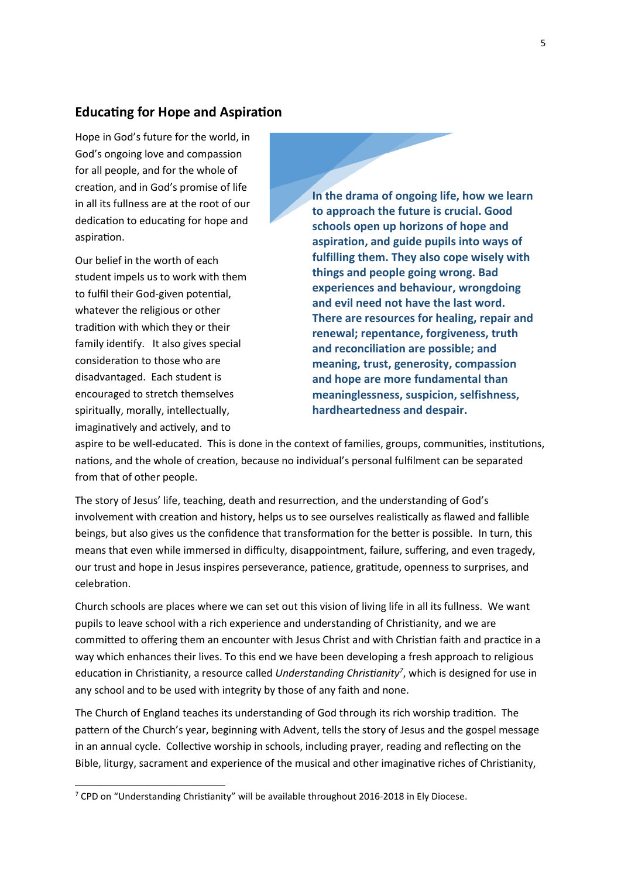#### **Educating for Hope and Aspiration**

Hope in God's future for the world, in God's ongoing love and compassion for all people, and for the whole of creation, and in God's promise of life in all its fullness are at the root of our dedication to educating for hope and aspiration.

Our belief in the worth of each student impels us to work with them to fulfil their God-given potential, whatever the religious or other tradition with which they or their family identify. It also gives special consideration to those who are disadvantaged. Each student is encouraged to stretch themselves spiritually, morally, intellectually, imaginatively and actively, and to

1

**In the drama of ongoing life, how we learn to approach the future is crucial. Good schools open up horizons of hope and aspiration, and guide pupils into ways of fulfilling them. They also cope wisely with things and people going wrong. Bad experiences and behaviour, wrongdoing and evil need not have the last word. There are resources for healing, repair and renewal; repentance, forgiveness, truth and reconciliation are possible; and meaning, trust, generosity, compassion and hope are more fundamental than meaninglessness, suspicion, selfishness, hardheartedness and despair.**

aspire to be well-educated. This is done in the context of families, groups, communities, institutions, nations, and the whole of creation, because no individual's personal fulfilment can be separated from that of other people.

The story of Jesus' life, teaching, death and resurrection, and the understanding of God's involvement with creation and history, helps us to see ourselves realistically as flawed and fallible beings, but also gives us the confidence that transformation for the better is possible. In turn, this means that even while immersed in difficulty, disappointment, failure, suffering, and even tragedy, our trust and hope in Jesus inspires perseverance, patience, gratitude, openness to surprises, and celebration.

Church schools are places where we can set out this vision of living life in all its fullness. We want pupils to leave school with a rich experience and understanding of Christianity, and we are committed to offering them an encounter with Jesus Christ and with Christian faith and practice in a way which enhances their lives. To this end we have been developing a fresh approach to religious education in Christianity, a resource called *Understanding Christianity<sup>7</sup>* , which is designed for use in any school and to be used with integrity by those of any faith and none.

The Church of England teaches its understanding of God through its rich worship tradition. The pattern of the Church's year, beginning with Advent, tells the story of Jesus and the gospel message in an annual cycle. Collective worship in schools, including prayer, reading and reflecting on the Bible, liturgy, sacrament and experience of the musical and other imaginative riches of Christianity,

<sup>7</sup> CPD on "Understanding Christianity" will be available throughout 2016-2018 in Ely Diocese.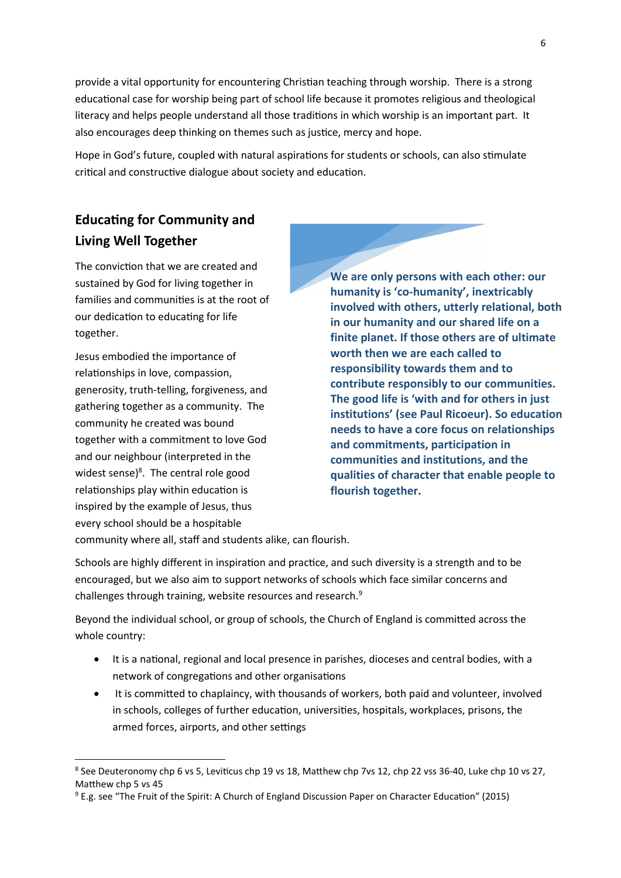provide a vital opportunity for encountering Christian teaching through worship. There is a strong educational case for worship being part of school life because it promotes religious and theological literacy and helps people understand all those traditions in which worship is an important part. It also encourages deep thinking on themes such as justice, mercy and hope.

Hope in God's future, coupled with natural aspirations for students or schools, can also stimulate critical and constructive dialogue about society and education.

# **Educating for Community and Living Well Together**

The conviction that we are created and sustained by God for living together in families and communities is at the root of our dedication to educating for life together.

Jesus embodied the importance of relationships in love, compassion, generosity, truth-telling, forgiveness, and gathering together as a community. The community he created was bound together with a commitment to love God and our neighbour (interpreted in the widest sense)<sup>8</sup>. The central role good relationships play within education is inspired by the example of Jesus, thus every school should be a hospitable

1

**We are only persons with each other: our humanity is 'co-humanity', inextricably involved with others, utterly relational, both in our humanity and our shared life on a finite planet. If those others are of ultimate worth then we are each called to responsibility towards them and to contribute responsibly to our communities. The good life is 'with and for others in just institutions' (see Paul Ricoeur). So education needs to have a core focus on relationships and commitments, participation in communities and institutions, and the qualities of character that enable people to flourish together.**

community where all, staff and students alike, can flourish.

Schools are highly different in inspiration and practice, and such diversity is a strength and to be encouraged, but we also aim to support networks of schools which face similar concerns and challenges through training, website resources and research.<sup>9</sup>

Beyond the individual school, or group of schools, the Church of England is committed across the whole country:

- It is a national, regional and local presence in parishes, dioceses and central bodies, with a network of congregations and other organisations
- It is committed to chaplaincy, with thousands of workers, both paid and volunteer, involved in schools, colleges of further education, universities, hospitals, workplaces, prisons, the armed forces, airports, and other settings

<sup>&</sup>lt;sup>8</sup> See Deuteronomy chp 6 vs 5, Leviticus chp 19 vs 18, Matthew chp 7vs 12, chp 22 vss 36-40, Luke chp 10 vs 27, Matthew chp 5 vs 45

<sup>9</sup> E.g. see "The Fruit of the Spirit: A Church of England Discussion Paper on Character Education" (2015)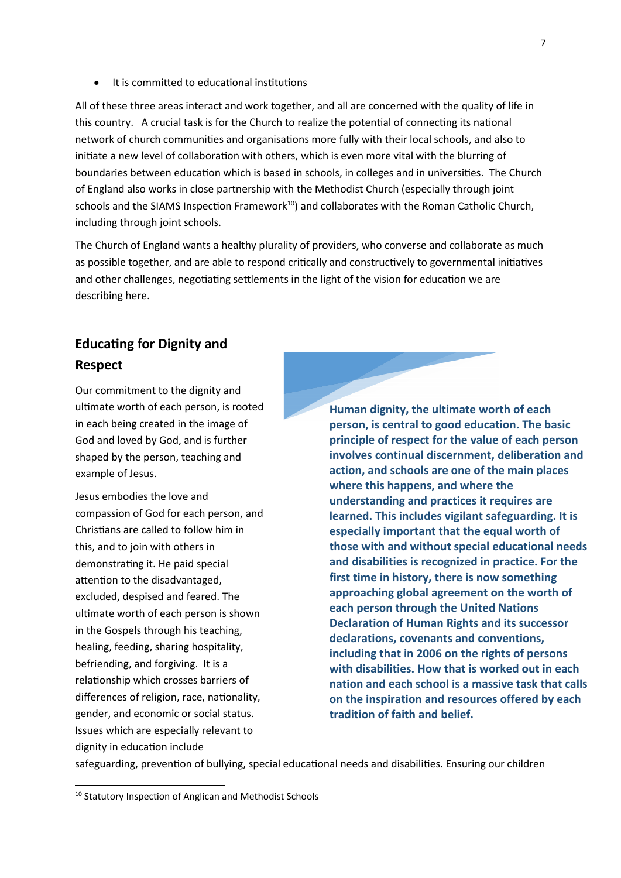It is committed to educational institutions

All of these three areas interact and work together, and all are concerned with the quality of life in this country. A crucial task is for the Church to realize the potential of connecting its national network of church communities and organisations more fully with their local schools, and also to initiate a new level of collaboration with others, which is even more vital with the blurring of boundaries between education which is based in schools, in colleges and in universities. The Church of England also works in close partnership with the Methodist Church (especially through joint schools and the SIAMS Inspection Framework<sup>10</sup>) and collaborates with the Roman Catholic Church, including through joint schools.

The Church of England wants a healthy plurality of providers, who converse and collaborate as much as possible together, and are able to respond critically and constructively to governmental initiatives and other challenges, negotiating settlements in the light of the vision for education we are describing here.

## **Educating for Dignity and Respect**

Our commitment to the dignity and ultimate worth of each person, is rooted in each being created in the image of God and loved by God, and is further shaped by the person, teaching and example of Jesus.

Jesus embodies the love and compassion of God for each person, and Christians are called to follow him in this, and to join with others in demonstrating it. He paid special attention to the disadvantaged, excluded, despised and feared. The ultimate worth of each person is shown in the Gospels through his teaching, healing, feeding, sharing hospitality, befriending, and forgiving. It is a relationship which crosses barriers of differences of religion, race, nationality, gender, and economic or social status. Issues which are especially relevant to dignity in education include

**Human dignity, the ultimate worth of each person, is central to good education. The basic principle of respect for the value of each person involves continual discernment, deliberation and action, and schools are one of the main places where this happens, and where the understanding and practices it requires are learned. This includes vigilant safeguarding. It is especially important that the equal worth of those with and without special educational needs and disabilities is recognized in practice. For the first time in history, there is now something approaching global agreement on the worth of each person through the United Nations Declaration of Human Rights and its successor declarations, covenants and conventions, including that in 2006 on the rights of persons with disabilities. How that is worked out in each nation and each school is a massive task that calls on the inspiration and resources offered by each tradition of faith and belief.**

safeguarding, prevention of bullying, special educational needs and disabilities. Ensuring our children

1

<sup>10</sup> Statutory Inspection of Anglican and Methodist Schools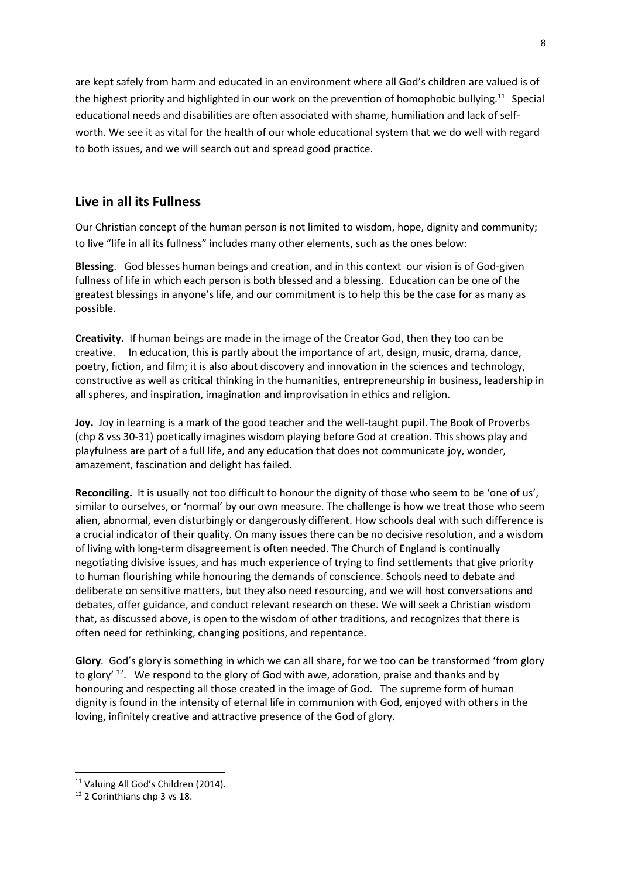are kept safely from harm and educated in an environment where all God's children are valued is of the highest priority and highlighted in our work on the prevention of homophobic bullying.<sup>11</sup> Special educational needs and disabilities are often associated with shame, humiliation and lack of selfworth. We see it as vital for the health of our whole educational system that we do well with regard to both issues, and we will search out and spread good practice.

### **Live in all its Fullness**

Our Christian concept of the human person is not limited to wisdom, hope, dignity and community; to live "life in all its fullness" includes many other elements, such as the ones below:

**Blessing**. God blesses human beings and creation, and in this context our vision is of God-given fullness of life in which each person is both blessed and a blessing. Education can be one of the greatest blessings in anyone's life, and our commitment is to help this be the case for as many as possible.

**Creativity.** If human beings are made in the image of the Creator God, then they too can be creative. In education, this is partly about the importance of art, design, music, drama, dance, poetry, fiction, and film; it is also about discovery and innovation in the sciences and technology, constructive as well as critical thinking in the humanities, entrepreneurship in business, leadership in all spheres, and inspiration, imagination and improvisation in ethics and religion.

**Joy.** Joy in learning is a mark of the good teacher and the well-taught pupil. The Book of Proverbs (chp 8 vss 30-31) poetically imagines wisdom playing before God at creation. This shows play and playfulness are part of a full life, and any education that does not communicate joy, wonder, amazement, fascination and delight has failed.

**Reconciling.** It is usually not too difficult to honour the dignity of those who seem to be 'one of us', similar to ourselves, or 'normal' by our own measure. The challenge is how we treat those who seem alien, abnormal, even disturbingly or dangerously different. How schools deal with such difference is a crucial indicator of their quality. On many issues there can be no decisive resolution, and a wisdom of living with long-term disagreement is often needed. The Church of England is continually negotiating divisive issues, and has much experience of trying to find settlements that give priority to human flourishing while honouring the demands of conscience. Schools need to debate and deliberate on sensitive matters, but they also need resourcing, and we will host conversations and debates, offer guidance, and conduct relevant research on these. We will seek a Christian wisdom that, as discussed above, is open to the wisdom of other traditions, and recognizes that there is often need for rethinking, changing positions, and repentance.

**Glory***.* God's glory is something in which we can all share, for we too can be transformed 'from glory to glory'  $^{12}$ . We respond to the glory of God with awe, adoration, praise and thanks and by honouring and respecting all those created in the image of God. The supreme form of human dignity is found in the intensity of eternal life in communion with God, enjoyed with others in the loving, infinitely creative and attractive presence of the God of glory.

**.** 

<sup>&</sup>lt;sup>11</sup> Valuing All God's Children (2014).

<sup>12</sup> 2 Corinthians chp 3 vs 18.